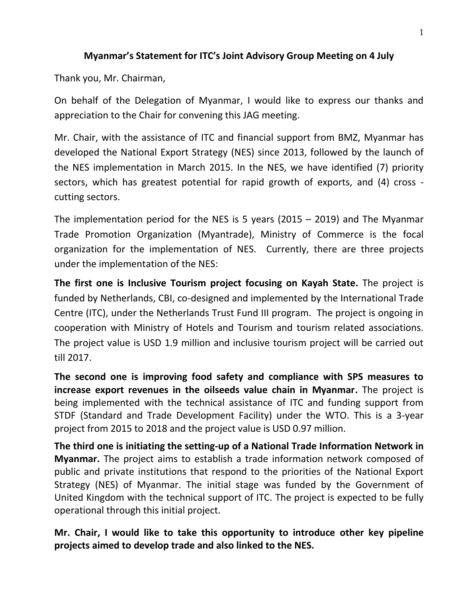## **Myanmar's Statement for ITC's Joint Advisory Group Meeting on 4 July**

Thank you, Mr. Chairman,

On behalf of the Delegation of Myanmar, I would like to express our thanks and appreciation to the Chair for convening this JAG meeting.

Mr. Chair, with the assistance of ITC and financial support from BMZ, Myanmar has developed the National Export Strategy (NES) since 2013, followed by the launch of the NES implementation in March 2015. In the NES, we have identified (7) priority sectors, which has greatest potential for rapid growth of exports, and (4) cross cutting sectors.

The implementation period for the NES is 5 years (2015 – 2019) and The Myanmar Trade Promotion Organization (Myantrade), Ministry of Commerce is the focal organization for the implementation of NES. Currently, there are three projects under the implementation of the NES:

**The first one is Inclusive Tourism project focusing on Kayah State.** The project is funded by Netherlands, CBI, co-designed and implemented by the International Trade Centre (ITC), under the Netherlands Trust Fund III program. The project is ongoing in cooperation with Ministry of Hotels and Tourism and tourism related associations. The project value is USD 1.9 million and inclusive tourism project will be carried out till 2017.

**The second one is improving food safety and compliance with SPS measures to increase export revenues in the oilseeds value chain in Myanmar.** The project is being implemented with the technical assistance of ITC and funding support from STDF (Standard and Trade Development Facility) under the WTO. This is a 3-year project from 2015 to 2018 and the project value is USD 0.97 million.

**The third one is initiating the setting-up of a National Trade Information Network in Myanmar.** The project aims to establish a trade information network composed of public and private institutions that respond to the priorities of the National Export Strategy (NES) of Myanmar. The initial stage was funded by the Government of United Kingdom with the technical support of ITC. The project is expected to be fully operational through this initial project.

**Mr. Chair, I would like to take this opportunity to introduce other key pipeline projects aimed to develop trade and also linked to the NES.**